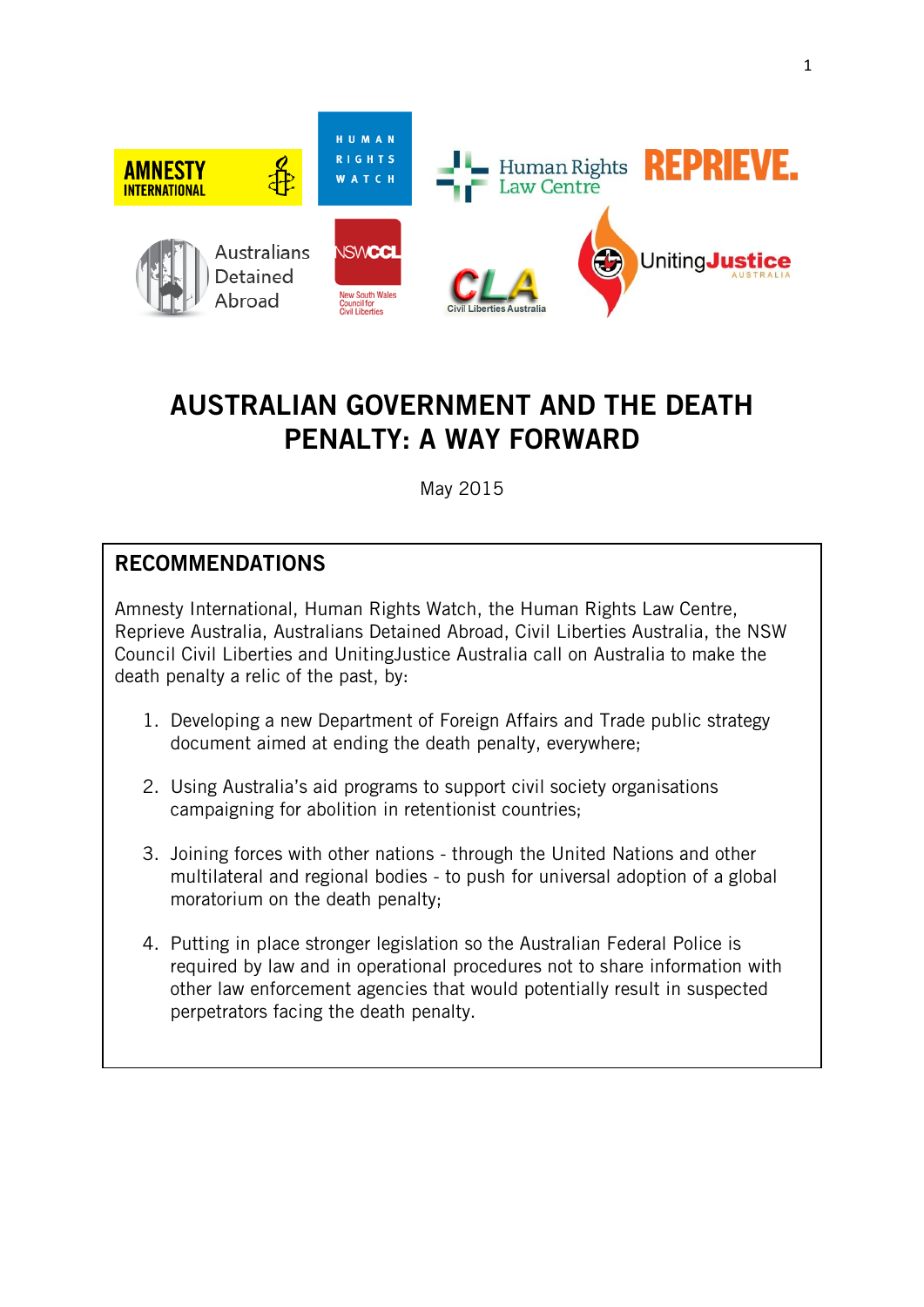

# **AUSTRALIAN GOVERNMENT AND THE DEATH PENALTY: A WAY FORWARD**

May 2015

# **RECOMMENDATIONS**

Amnesty International, Human Rights Watch, the Human Rights Law Centre, Reprieve Australia, Australians Detained Abroad, Civil Liberties Australia, the NSW Council Civil Liberties and UnitingJustice Australia call on Australia to make the death penalty a relic of the past, by:

- 1. Developing a new Department of Foreign Affairs and Trade public strategy document aimed at ending the death penalty, everywhere;
- 2. Using Australia's aid programs to support civil society organisations campaigning for abolition in retentionist countries;
- 3. Joining forces with other nations through the United Nations and other multilateral and regional bodies - to push for universal adoption of a global moratorium on the death penalty;
- 4. Putting in place stronger legislation so the Australian Federal Police is required by law and in operational procedures not to share information with other law enforcement agencies that would potentially result in suspected perpetrators facing the death penalty.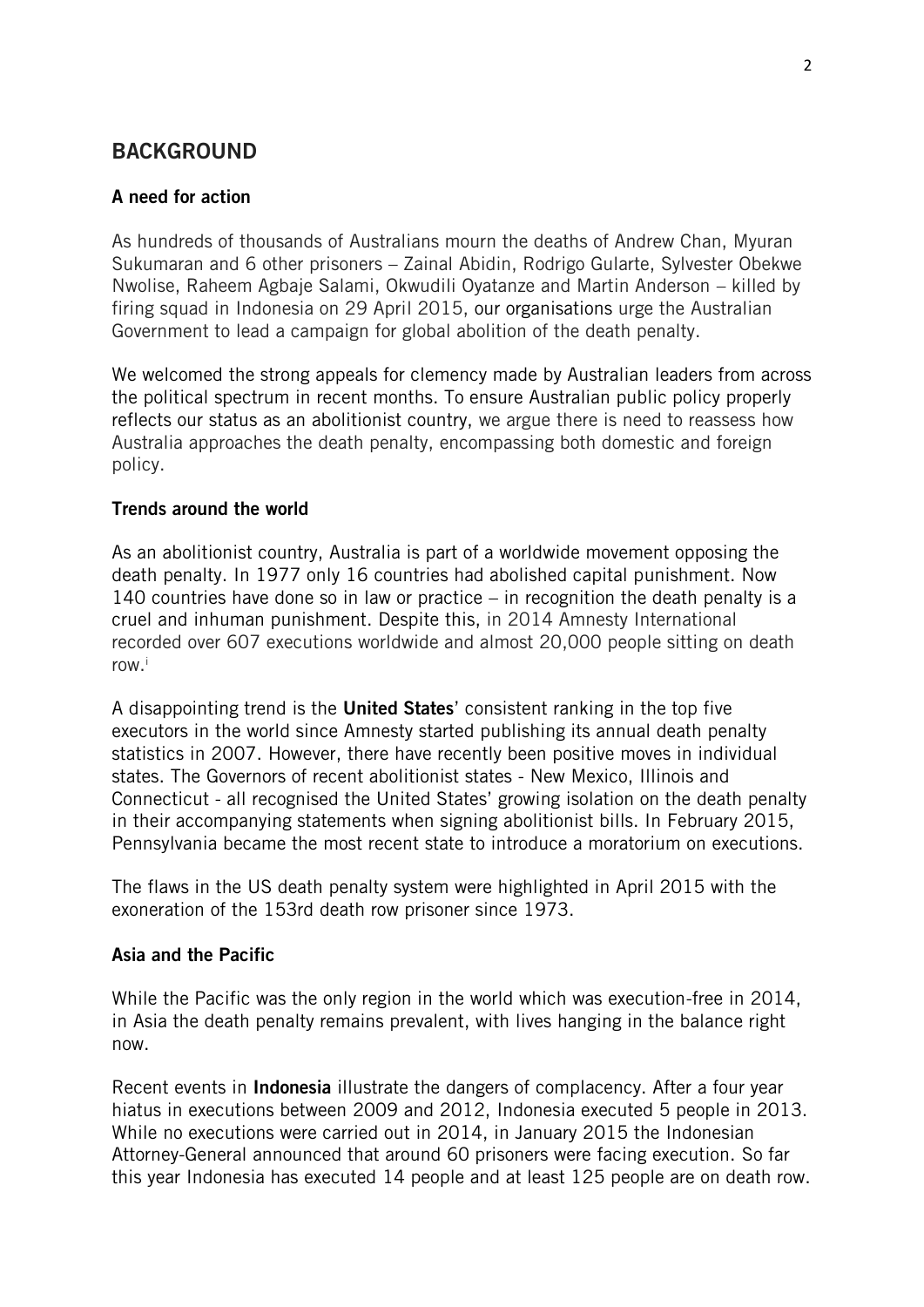# **BACKGROUND**

# **A need for action**

As hundreds of thousands of Australians mourn the deaths of Andrew Chan, Myuran Sukumaran and 6 other prisoners – Zainal Abidin, Rodrigo Gularte, Sylvester Obekwe Nwolise, Raheem Agbaje Salami, Okwudili Oyatanze and Martin Anderson – killed by firing squad in Indonesia on 29 April 2015, our organisations urge the Australian Government to lead a campaign for global abolition of the death penalty.

We welcomed the strong appeals for clemency made by Australian leaders from across the political spectrum in recent months. To ensure Australian public policy properly reflects our status as an abolitionist country, we argue there is need to reassess how Australia approaches the death penalty, encompassing both domestic and foreign policy.

### **Trends around the world**

As an abolitionist country, Australia is part of a worldwide movement opposing the death penalty. In 1977 only 16 countries had abolished capital punishment. Now 140 countries have done so in law or practice – in recognition the death penalty is a cruel and inhuman punishment. Despite this, in 2014 Amnesty International recorded over 607 executions worldwide and almost 20,000 people sitting on death row. i

A disappointing trend is the **United States**' consistent ranking in the top five executors in the world since Amnesty started publishing its annual death penalty statistics in 2007. However, there have recently been positive moves in individual states. The Governors of recent abolitionist states - New Mexico, Illinois and Connecticut - all recognised the United States' growing isolation on the death penalty in their accompanying statements when signing abolitionist bills. In February 2015, Pennsylvania became the most recent state to introduce a moratorium on executions.

The flaws in the US death penalty system were highlighted in April 2015 with the exoneration of the 153rd death row prisoner since 1973.

### **Asia and the Pacific**

While the Pacific was the only region in the world which was execution-free in 2014, in Asia the death penalty remains prevalent, with lives hanging in the balance right now.

Recent events in **Indonesia** illustrate the dangers of complacency. After a four year hiatus in executions between 2009 and 2012, Indonesia executed 5 people in 2013. While no executions were carried out in 2014, in January 2015 the Indonesian Attorney-General announced that around 60 prisoners were facing execution. So far this year Indonesia has executed 14 people and at least 125 people are on death row.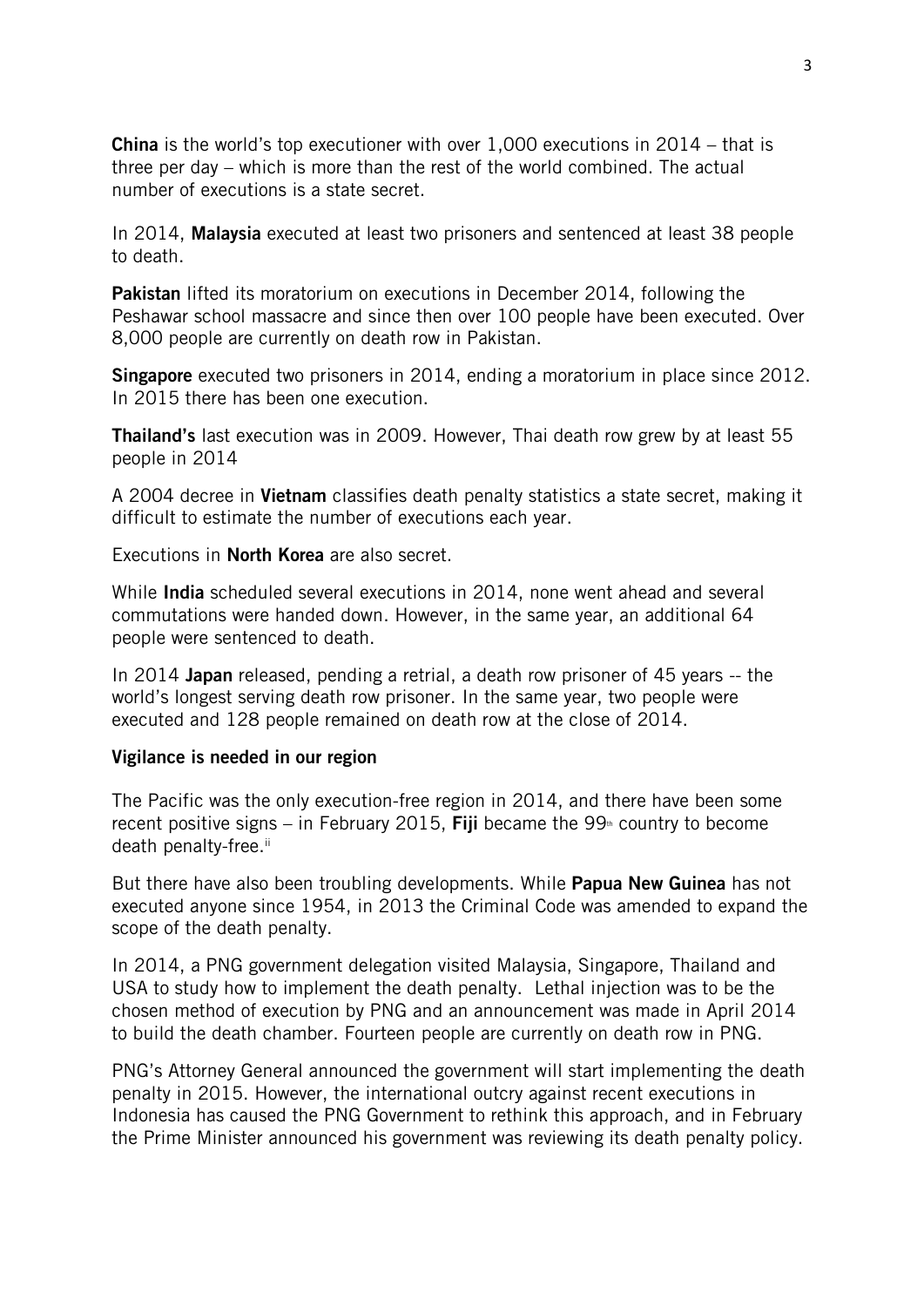**China** is the world's top executioner with over 1,000 executions in 2014 – that is three per day – which is more than the rest of the world combined. The actual number of executions is a state secret.

In 2014, **Malaysia** executed at least two prisoners and sentenced at least 38 people to death.

**Pakistan** lifted its moratorium on executions in December 2014, following the Peshawar school massacre and since then over 100 people have been executed. Over 8,000 people are currently on death row in Pakistan.

**Singapore** executed two prisoners in 2014, ending a moratorium in place since 2012. In 2015 there has been one execution.

**Thailand's** last execution was in 2009. However, Thai death row grew by at least 55 people in 2014

A 2004 decree in **Vietnam** classifies death penalty statistics a state secret, making it difficult to estimate the number of executions each year.

Executions in **North Korea** are also secret.

While **India** scheduled several executions in 2014, none went ahead and several commutations were handed down. However, in the same year, an additional 64 people were sentenced to death.

In 2014 **Japan** released, pending a retrial, a death row prisoner of 45 years -- the world's longest serving death row prisoner. In the same year, two people were executed and 128 people remained on death row at the close of 2014.

#### **Vigilance is needed in our region**

The Pacific was the only execution-free region in 2014, and there have been some recent positive signs – in February 2015. **Fiji** became the  $99<sup>th</sup>$  country to become death penalty-free.<sup>ii</sup>

But there have also been troubling developments. While **Papua New Guinea** has not executed anyone since 1954, in 2013 the Criminal Code was amended to expand the scope of the death penalty.

In 2014, a PNG government delegation visited Malaysia, Singapore, Thailand and USA to study how to implement the death penalty. Lethal injection was to be the chosen method of execution by PNG and an announcement was made in April 2014 to build the death chamber. Fourteen people are currently on death row in PNG.

PNG's Attorney General announced the government will start implementing the death penalty in 2015. However, the international outcry against recent executions in Indonesia has caused the PNG Government to rethink this approach, and in February the Prime Minister announced his government was reviewing its death penalty policy.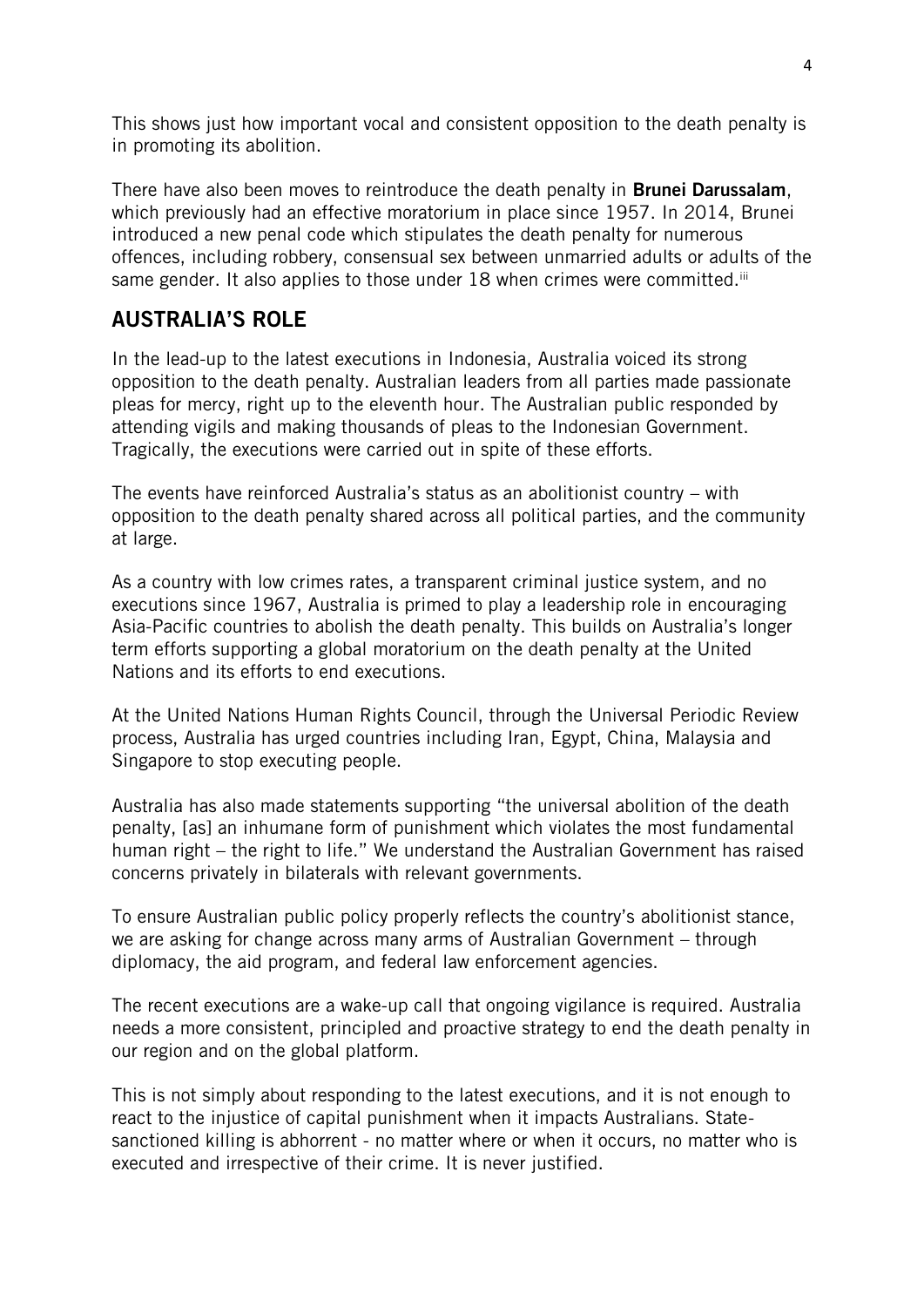This shows just how important vocal and consistent opposition to the death penalty is in promoting its abolition.

There have also been moves to reintroduce the death penalty in **Brunei Darussalam**, which previously had an effective moratorium in place since 1957. In 2014, Brunei introduced a new penal code which stipulates the death penalty for numerous offences, including robbery, consensual sex between unmarried adults or adults of the same gender. It also applies to those under 18 when crimes were committed.<sup>iii</sup>

# **AUSTRALIA'S ROLE**

In the lead-up to the latest executions in Indonesia, Australia voiced its strong opposition to the death penalty. Australian leaders from all parties made passionate pleas for mercy, right up to the eleventh hour. The Australian public responded by attending vigils and making thousands of pleas to the Indonesian Government. Tragically, the executions were carried out in spite of these efforts.

The events have reinforced Australia's status as an abolitionist country – with opposition to the death penalty shared across all political parties, and the community at large.

As a country with low crimes rates, a transparent criminal justice system, and no executions since 1967, Australia is primed to play a leadership role in encouraging Asia-Pacific countries to abolish the death penalty. This builds on Australia's longer term efforts supporting a global moratorium on the death penalty at the United Nations and its efforts to end executions.

At the United Nations Human Rights Council, through the Universal Periodic Review process, Australia has urged countries including Iran, Egypt, China, Malaysia and Singapore to stop executing people.

Australia has also made statements supporting "the universal abolition of the death penalty, [as] an inhumane form of punishment which violates the most fundamental human right – the right to life." We understand the Australian Government has raised concerns privately in bilaterals with relevant governments.

To ensure Australian public policy properly reflects the country's abolitionist stance, we are asking for change across many arms of Australian Government – through diplomacy, the aid program, and federal law enforcement agencies.

The recent executions are a wake-up call that ongoing vigilance is required. Australia needs a more consistent, principled and proactive strategy to end the death penalty in our region and on the global platform.

This is not simply about responding to the latest executions, and it is not enough to react to the injustice of capital punishment when it impacts Australians. Statesanctioned killing is abhorrent - no matter where or when it occurs, no matter who is executed and irrespective of their crime. It is never justified.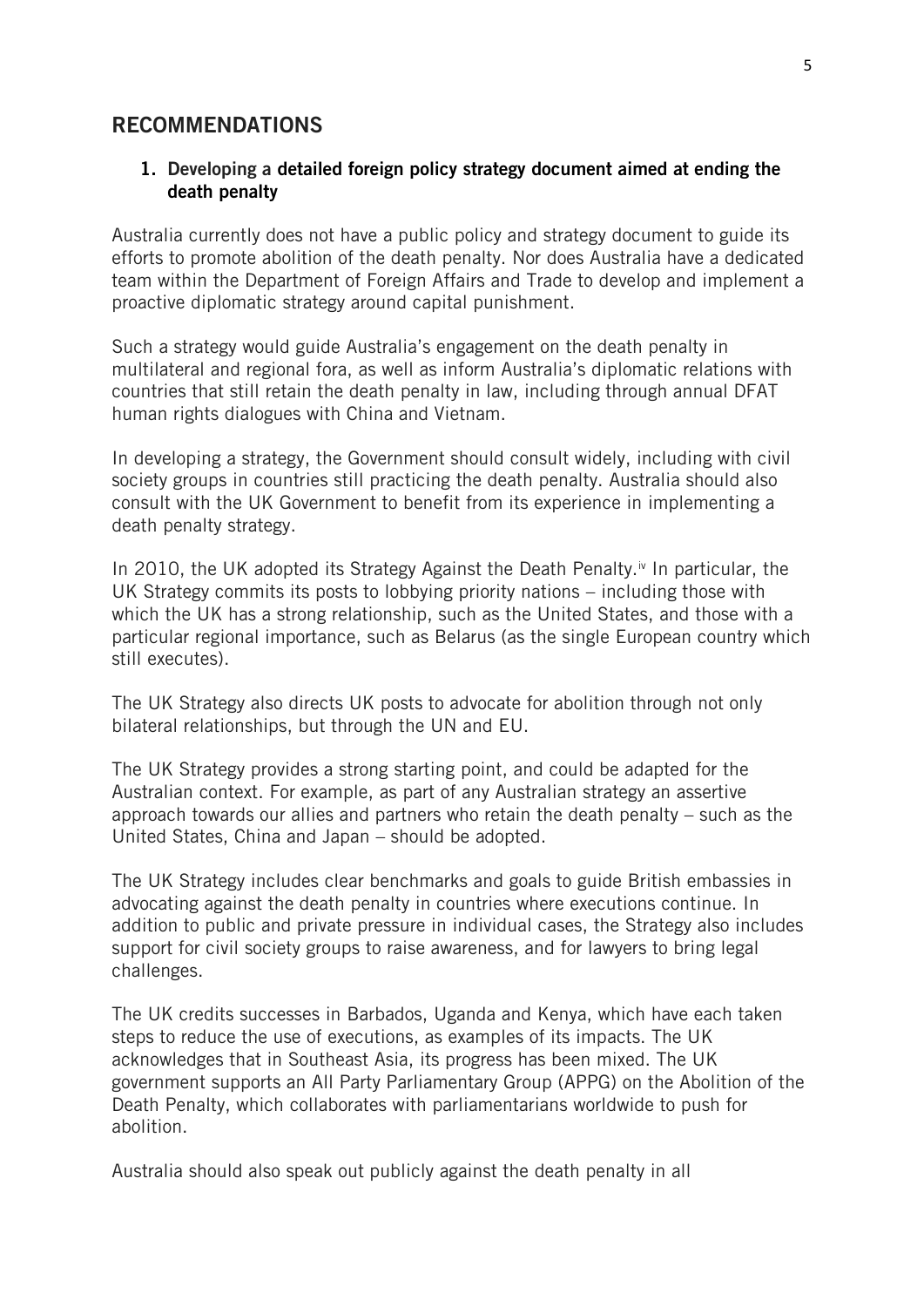# **RECOMMENDATIONS**

#### **1. Developing a detailed foreign policy strategy document aimed at ending the death penalty**

Australia currently does not have a public policy and strategy document to guide its efforts to promote abolition of the death penalty. Nor does Australia have a dedicated team within the Department of Foreign Affairs and Trade to develop and implement a proactive diplomatic strategy around capital punishment.

Such a strategy would guide Australia's engagement on the death penalty in multilateral and regional fora, as well as inform Australia's diplomatic relations with countries that still retain the death penalty in law, including through annual DFAT human rights dialogues with China and Vietnam.

In developing a strategy, the Government should consult widely, including with civil society groups in countries still practicing the death penalty. Australia should also consult with the UK Government to benefit from its experience in implementing a death penalty strategy.

In 2010, the UK adopted its Strategy Against the Death Penalty.<sup>iv</sup> In particular, the UK Strategy commits its posts to lobbying priority nations – including those with which the UK has a strong relationship, such as the United States, and those with a particular regional importance, such as Belarus (as the single European country which still executes).

The UK Strategy also directs UK posts to advocate for abolition through not only bilateral relationships, but through the UN and EU.

The UK Strategy provides a strong starting point, and could be adapted for the Australian context. For example, as part of any Australian strategy an assertive approach towards our allies and partners who retain the death penalty – such as the United States, China and Japan – should be adopted.

The UK Strategy includes clear benchmarks and goals to guide British embassies in advocating against the death penalty in countries where executions continue. In addition to public and private pressure in individual cases, the Strategy also includes support for civil society groups to raise awareness, and for lawyers to bring legal challenges.

The UK credits successes in Barbados, Uganda and Kenya, which have each taken steps to reduce the use of executions, as examples of its impacts. The UK acknowledges that in Southeast Asia, its progress has been mixed. The UK government supports an All Party Parliamentary Group (APPG) on the Abolition of the Death Penalty, which collaborates with parliamentarians worldwide to push for abolition.

Australia should also speak out publicly against the death penalty in all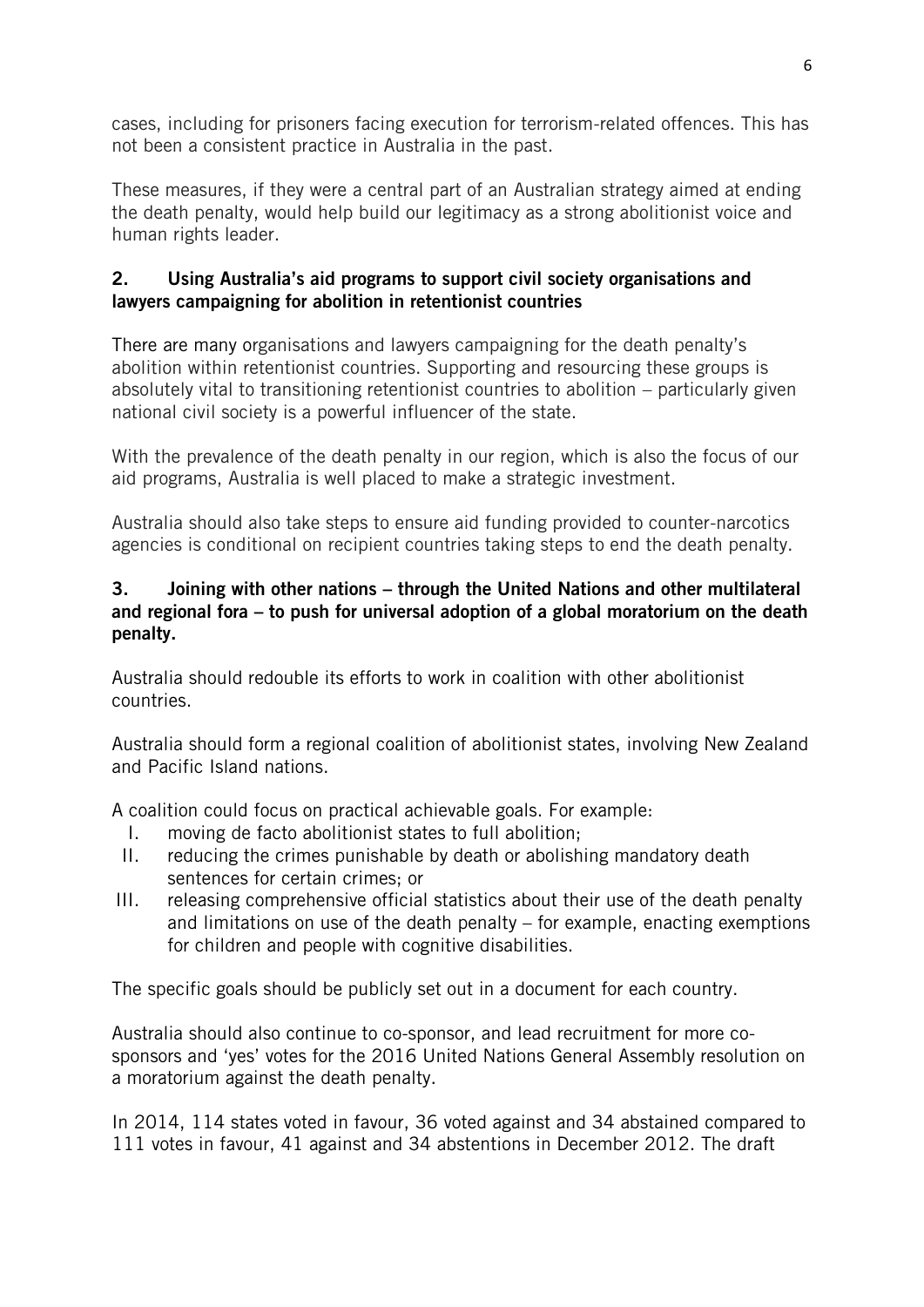cases, including for prisoners facing execution for terrorism-related offences. This has not been a consistent practice in Australia in the past.

These measures, if they were a central part of an Australian strategy aimed at ending the death penalty, would help build our legitimacy as a strong abolitionist voice and human rights leader.

# **2. Using Australia's aid programs to support civil society organisations and lawyers campaigning for abolition in retentionist countries**

There are many organisations and lawyers campaigning for the death penalty's abolition within retentionist countries. Supporting and resourcing these groups is absolutely vital to transitioning retentionist countries to abolition – particularly given national civil society is a powerful influencer of the state.

With the prevalence of the death penalty in our region, which is also the focus of our aid programs, Australia is well placed to make a strategic investment.

Australia should also take steps to ensure aid funding provided to counter-narcotics agencies is conditional on recipient countries taking steps to end the death penalty.

# **3. Joining with other nations – through the United Nations and other multilateral and regional fora – to push for universal adoption of a global moratorium on the death penalty.**

Australia should redouble its efforts to work in coalition with other abolitionist countries.

Australia should form a regional coalition of abolitionist states, involving New Zealand and Pacific Island nations.

A coalition could focus on practical achievable goals. For example:

- I. moving de facto abolitionist states to full abolition;
- II. reducing the crimes punishable by death or abolishing mandatory death sentences for certain crimes; or
- III. releasing comprehensive official statistics about their use of the death penalty and limitations on use of the death penalty – for example, enacting exemptions for children and people with cognitive disabilities.

The specific goals should be publicly set out in a document for each country.

Australia should also continue to co-sponsor, and lead recruitment for more cosponsors and 'yes' votes for the 2016 United Nations General Assembly resolution on a moratorium against the death penalty.

In 2014, 114 states voted in favour, 36 voted against and 34 abstained compared to 111 votes in favour, 41 against and 34 abstentions in December 2012. The draft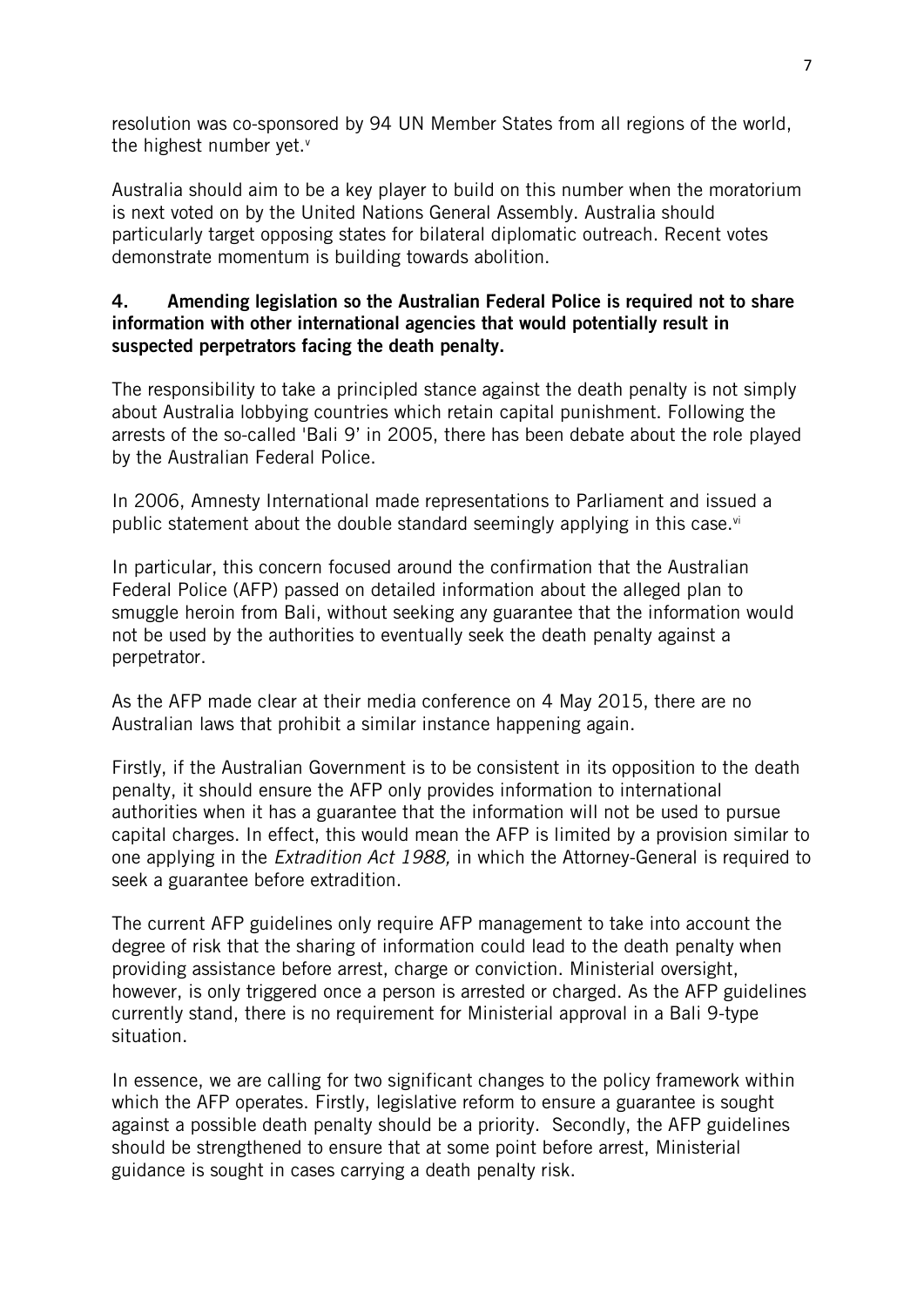resolution was co-sponsored by 94 UN Member States from all regions of the world, the highest number yet. $v$ 

Australia should aim to be a key player to build on this number when the moratorium is next voted on by the United Nations General Assembly. Australia should particularly target opposing states for bilateral diplomatic outreach. Recent votes demonstrate momentum is building towards abolition.

# **4. Amending legislation so the Australian Federal Police is required not to share information with other international agencies that would potentially result in suspected perpetrators facing the death penalty.**

The responsibility to take a principled stance against the death penalty is not simply about Australia lobbying countries which retain capital punishment. Following the arrests of the so-called 'Bali 9' in 2005, there has been debate about the role played by the Australian Federal Police.

In 2006, Amnesty International made representations to Parliament and issued a public statement about the double standard seemingly applying in this case. $\vec{v}$ 

In particular, this concern focused around the confirmation that the Australian Federal Police (AFP) passed on detailed information about the alleged plan to smuggle heroin from Bali, without seeking any guarantee that the information would not be used by the authorities to eventually seek the death penalty against a perpetrator.

As the AFP made clear at their media conference on 4 May 2015, there are no Australian laws that prohibit a similar instance happening again.

Firstly, if the Australian Government is to be consistent in its opposition to the death penalty, it should ensure the AFP only provides information to international authorities when it has a guarantee that the information will not be used to pursue capital charges. In effect, this would mean the AFP is limited by a provision similar to one applying in the *Extradition Act 1988,* in which the Attorney-General is required to seek a guarantee before extradition.

The current AFP guidelines only require AFP management to take into account the degree of risk that the sharing of information could lead to the death penalty when providing assistance before arrest, charge or conviction. Ministerial oversight, however, is only triggered once a person is arrested or charged. As the AFP guidelines currently stand, there is no requirement for Ministerial approval in a Bali 9-type situation.

In essence, we are calling for two significant changes to the policy framework within which the AFP operates. Firstly, legislative reform to ensure a guarantee is sought against a possible death penalty should be a priority. Secondly, the AFP guidelines should be strengthened to ensure that at some point before arrest, Ministerial guidance is sought in cases carrying a death penalty risk.